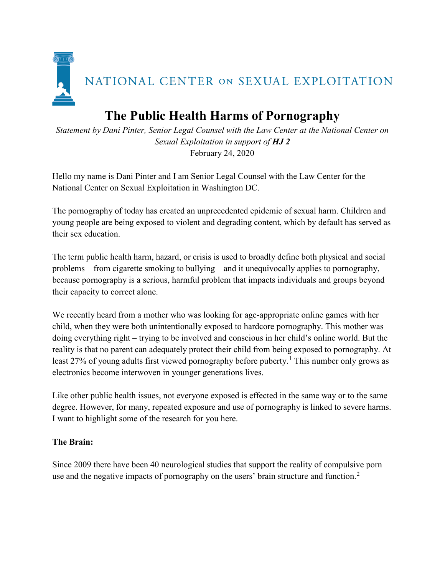

## **The Public Health Harms of Pornography**

*Statement by Dani Pinter, Senior Legal Counsel with the Law Center at the National Center on Sexual Exploitation in support of HJ 2* February 24, 2020

Hello my name is Dani Pinter and I am Senior Legal Counsel with the Law Center for the National Center on Sexual Exploitation in Washington DC.

The pornography of today has created an unprecedented epidemic of sexual harm. Children and young people are being exposed to violent and degrading content, which by default has served as their sex education.

The term public health harm, hazard, or crisis is used to broadly define both physical and social problems—from cigarette smoking to bullying—and it unequivocally applies to pornography, because pornography is a serious, harmful problem that impacts individuals and groups beyond their capacity to correct alone.

We recently heard from a mother who was looking for age-appropriate online games with her child, when they were both unintentionally exposed to hardcore pornography. This mother was doing everything right – trying to be involved and conscious in her child's online world. But the reality is that no parent can adequately protect their child from being exposed to pornography. At least 27% of young adults first viewed pornography before puberty.<sup>[1](#page-2-0)</sup> This number only grows as electronics become interwoven in younger generations lives.

Like other public health issues, not everyone exposed is effected in the same way or to the same degree. However, for many, repeated exposure and use of pornography is linked to severe harms. I want to highlight some of the research for you here.

## **The Brain:**

Since 2009 there have been 40 neurological studies that support the reality of compulsive porn use and the negative impacts of pornography on the users' brain structure and function.<sup>[2](#page-2-1)</sup>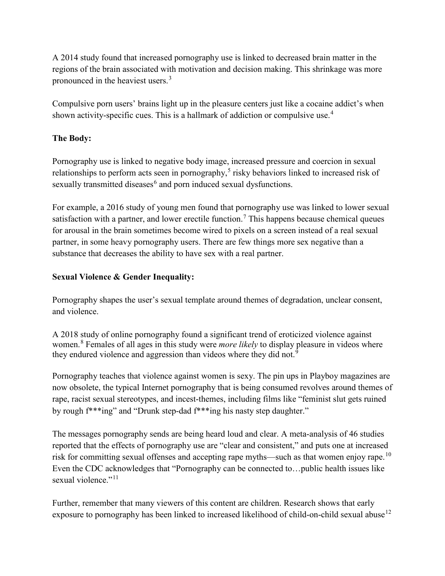A 2014 study found that increased pornography use is linked to decreased brain matter in the regions of the brain associated with motivation and decision making. This shrinkage was more pronounced in the heaviest users.<sup>[3](#page-2-2)</sup>

Compulsive porn users' brains light up in the pleasure centers just like a cocaine addict's when shown activity-specific cues. This is a hallmark of addiction or compulsive use.<sup>[4](#page-2-3)</sup>

## **The Body:**

Pornography use is linked to negative body image, increased pressure and coercion in sexual relationships to perform acts seen in pornography,<sup>[5](#page-2-4)</sup> risky behaviors linked to increased risk of sexually transmitted diseases<sup>[6](#page-2-5)</sup> and porn induced sexual dysfunctions.

For example, a 2016 study of young men found that pornography use was linked to lower sexual satisfaction with a partner, and lower erectile function.<sup>[7](#page-2-6)</sup> This happens because chemical queues for arousal in the brain sometimes become wired to pixels on a screen instead of a real sexual partner, in some heavy pornography users. There are few things more sex negative than a substance that decreases the ability to have sex with a real partner.

## **Sexual Violence & Gender Inequality:**

Pornography shapes the user's sexual template around themes of degradation, unclear consent, and violence.

A 2018 study of online pornography found a significant trend of eroticized violence against women. [8](#page-2-7) Females of all ages in this study were *more likely* to display pleasure in videos where they endured violence and aggression than videos where they did not.<sup>[9](#page-2-8)</sup>

Pornography teaches that violence against women is sexy. The pin ups in Playboy magazines are now obsolete, the typical Internet pornography that is being consumed revolves around themes of rape, racist sexual stereotypes, and incest-themes, including films like "feminist slut gets ruined by rough f\*\*\*ing" and "Drunk step-dad f\*\*\*ing his nasty step daughter."

The messages pornography sends are being heard loud and clear. A meta-analysis of 46 studies reported that the effects of pornography use are "clear and consistent," and puts one at increased risk for committing sexual offenses and accepting rape myths—such as that women enjoy rape.<sup>[10](#page-2-9)</sup> Even the CDC acknowledges that "Pornography can be connected to…public health issues like sexual violence."<sup>[11](#page-2-10)</sup>

Further, remember that many viewers of this content are children. Research shows that early exposure to pornography has been linked to increased likelihood of child-on-child sexual abuse<sup>[12](#page-2-11)</sup>